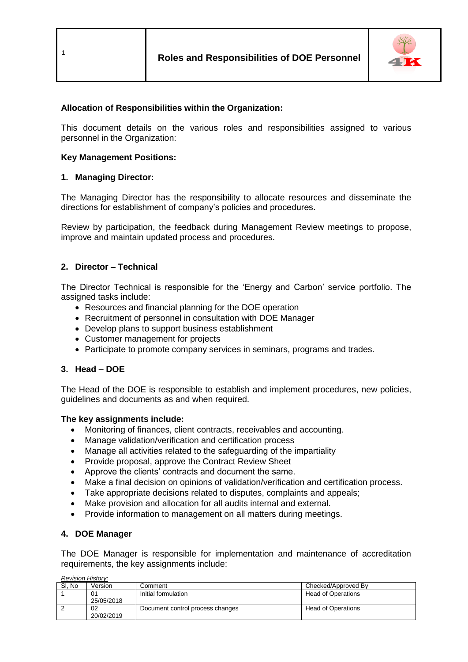

## **Allocation of Responsibilities within the Organization:**

This document details on the various roles and responsibilities assigned to various personnel in the Organization:

### **Key Management Positions:**

### **1. Managing Director:**

The Managing Director has the responsibility to allocate resources and disseminate the directions for establishment of company's policies and procedures.

Review by participation, the feedback during Management Review meetings to propose, improve and maintain updated process and procedures.

### **2. Director – Technical**

The Director Technical is responsible for the 'Energy and Carbon' service portfolio. The assigned tasks include:

- Resources and financial planning for the DOE operation
- Recruitment of personnel in consultation with DOE Manager
- Develop plans to support business establishment
- Customer management for projects
- Participate to promote company services in seminars, programs and trades.

#### **3. Head – DOE**

The Head of the DOE is responsible to establish and implement procedures, new policies, guidelines and documents as and when required.

#### **The key assignments include:**

- Monitoring of finances, client contracts, receivables and accounting.
- Manage validation/verification and certification process
- Manage all activities related to the safeguarding of the impartiality
- Provide proposal, approve the Contract Review Sheet
- Approve the clients' contracts and document the same.
- Make a final decision on opinions of validation/verification and certification process.
- Take appropriate decisions related to disputes, complaints and appeals;
- Make provision and allocation for all audits internal and external.
- Provide information to management on all matters during meetings.

#### **4. DOE Manager**

*Revision History:*

The DOE Manager is responsible for implementation and maintenance of accreditation requirements, the key assignments include:

| Revision History. |                  |                                  |                     |  |  |  |
|-------------------|------------------|----------------------------------|---------------------|--|--|--|
| SI. No            | Version          | Comment                          | Checked/Approved By |  |  |  |
|                   | 01<br>25/05/2018 | Initial formulation              | Head of Operations  |  |  |  |
|                   | 02<br>20/02/2019 | Document control process changes | Head of Operations  |  |  |  |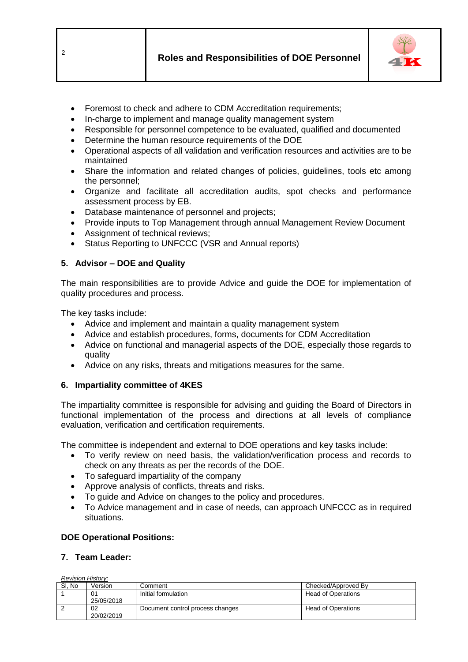

- Foremost to check and adhere to CDM Accreditation requirements;
- In-charge to implement and manage quality management system
- Responsible for personnel competence to be evaluated, qualified and documented
- Determine the human resource requirements of the DOE
- Operational aspects of all validation and verification resources and activities are to be maintained
- Share the information and related changes of policies, quidelines, tools etc among the personnel;
- Organize and facilitate all accreditation audits, spot checks and performance assessment process by EB.
- Database maintenance of personnel and projects;
- Provide inputs to Top Management through annual Management Review Document
- Assignment of technical reviews;
- Status Reporting to UNFCCC (VSR and Annual reports)

# **5. Advisor – DOE and Quality**

The main responsibilities are to provide Advice and guide the DOE for implementation of quality procedures and process.

The key tasks include:

- Advice and implement and maintain a quality management system
- Advice and establish procedures, forms, documents for CDM Accreditation
- Advice on functional and managerial aspects of the DOE, especially those regards to quality
- Advice on any risks, threats and mitigations measures for the same.

# **6. Impartiality committee of 4KES**

The impartiality committee is responsible for advising and guiding the Board of Directors in functional implementation of the process and directions at all levels of compliance evaluation, verification and certification requirements.

The committee is independent and external to DOE operations and key tasks include:

- To verify review on need basis, the validation/verification process and records to check on any threats as per the records of the DOE.
- To safeguard impartiality of the company
- Approve analysis of conflicts, threats and risks.
- To guide and Advice on changes to the policy and procedures.
- To Advice management and in case of needs, can approach UNFCCC as in required situations.

# **DOE Operational Positions:**

# **7. Team Leader:**

*Revision History:*

| SI. No | Version          | Comment                          | Checked/Approved By       |  |  |  |
|--------|------------------|----------------------------------|---------------------------|--|--|--|
|        | 25/05/2018       | Initial formulation              | Head of Operations        |  |  |  |
|        | 02<br>20/02/2019 | Document control process changes | <b>Head of Operations</b> |  |  |  |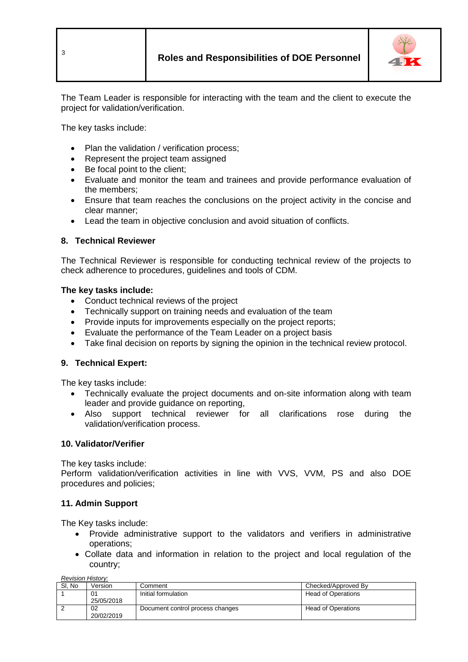



The Team Leader is responsible for interacting with the team and the client to execute the project for validation/verification.

The key tasks include:

- Plan the validation / verification process;
- Represent the project team assigned
- Be focal point to the client:
- Evaluate and monitor the team and trainees and provide performance evaluation of the members;
- Ensure that team reaches the conclusions on the project activity in the concise and clear manner;
- Lead the team in objective conclusion and avoid situation of conflicts.

## **8. Technical Reviewer**

The Technical Reviewer is responsible for conducting technical review of the projects to check adherence to procedures, guidelines and tools of CDM.

### **The key tasks include:**

- Conduct technical reviews of the project
- Technically support on training needs and evaluation of the team
- Provide inputs for improvements especially on the project reports;
- Evaluate the performance of the Team Leader on a project basis
- Take final decision on reports by signing the opinion in the technical review protocol.

## **9. Technical Expert:**

The key tasks include:

- Technically evaluate the project documents and on-site information along with team leader and provide guidance on reporting,
- Also support technical reviewer for all clarifications rose during the validation/verification process.

## **10. Validator/Verifier**

The key tasks include:

Perform validation/verification activities in line with VVS, VVM, PS and also DOE procedures and policies;

## **11. Admin Support**

The Key tasks include:

- Provide administrative support to the validators and verifiers in administrative operations;
- Collate data and information in relation to the project and local regulation of the country;

*Revision History:*

| SI. No | √ersion          | Comment                          | Checked/Approved By       |
|--------|------------------|----------------------------------|---------------------------|
|        | 01<br>25/05/2018 | Initial formulation              | <b>Head of Operations</b> |
|        | 02<br>20/02/2019 | Document control process changes | <b>Head of Operations</b> |